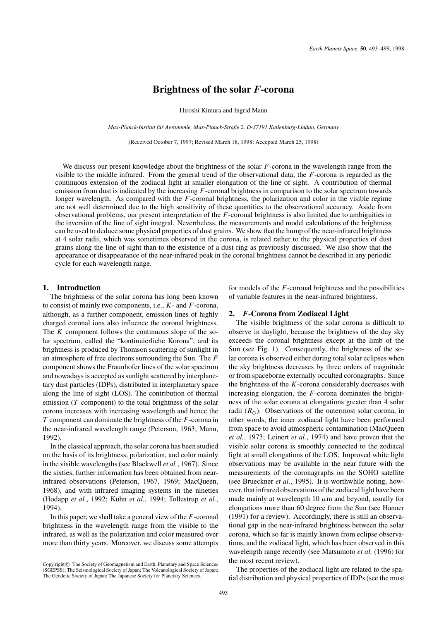# **Brightness of the solar** *F***-corona**

Hiroshi Kimura and Ingrid Mann

*Max-Planck-Institut fur Aeronomie, Max-Planck-Straße 2, D-37191 Katlenburg-Lindau, Germany ¨*

(Received October 7, 1997; Revised March 18, 1998; Accepted March 25, 1998)

We discuss our present knowledge about the brightness of the solar *F*-corona in the wavelength range from the visible to the middle infrared. From the general trend of the observational data, the *F*-corona is regarded as the continuous extension of the zodiacal light at smaller elongation of the line of sight. A contribution of thermal emission from dust is indicated by the increasing *F*-coronal brightness in comparison to the solar spectrum towards longer wavelength. As compared with the *F*-coronal brightness, the polarization and color in the visible regime are not well determined due to the high sensitivity of these quantities to the observational accuracy. Aside from observational problems, our present interpretation of the *F*-coronal brightness is also limited due to ambiguities in the inversion of the line of sight integral. Nevertheless, the measurements and model calculations of the brightness can be used to deduce some physical properties of dust grains. We show that the hump of the near-infrared brightness at 4 solar radii, which was sometimes observed in the corona, is related rather to the physical properties of dust grains along the line of sight than to the existence of a dust ring as previously discussed. We also show that the appearance or disappearance of the near-infrared peak in the coronal brightness cannot be described in any periodic cycle for each wavelength range.

## **1. Introduction**

The brightness of the solar corona has long been known to consist of mainly two components, i.e., *K*- and *F*-corona, although, as a further component, emission lines of highly charged coronal ions also influence the coronal brightness. The *K* component follows the continuous slope of the solar spectrum, called the "kontinuierliche Korona", and its brightness is produced by Thomson scattering of sunlight in an atmosphere of free electrons surrounding the Sun. The *F* component shows the Fraunhofer lines of the solar spectrum and nowadays is accepted as sunlight scattered by interplanetary dust particles (IDPs), distributed in interplanetary space along the line of sight (LOS). The contribution of thermal emission (*T* component) to the total brightness of the solar corona increases with increasing wavelength and hence the *T* component can dominate the brightness of the *F*-corona in the near-infrared wavelength range (Peterson, 1963; Mann, 1992).

In the classical approach, the solar corona has been studied on the basis of its brightness, polarization, and color mainly in the visible wavelengths (see Blackwell *et al.*, 1967). Since the sixties, further information has been obtained from nearinfrared observations (Peterson, 1967, 1969; MacQueen, 1968), and with infrared imaging systems in the nineties (Hodapp *et al.*, 1992; Kuhn *et al.*, 1994; Tollestrup *et al.*, 1994).

In this paper, we shall take a general view of the *F*-coronal brightness in the wavelength range from the visible to the infrared, as well as the polarization and color measured over more than thirty years. Moreover, we discuss some attempts

for models of the *F*-coronal brightness and the possibilities of variable features in the near-infrared brightness.

### **2.** *F***-Corona from Zodiacal Light**

The visible brightness of the solar corona is difficult to observe in daylight, because the brightness of the day sky exceeds the coronal brightness except at the limb of the Sun (see Fig. 1). Consequently, the brightness of the solar corona is observed either during total solar eclipses when the sky brightness decreases by three orders of magnitude or from spaceborne externally occulted coronagraphs. Since the brightness of the *K*-corona considerably decreases with increasing elongation, the *F*-corona dominates the brightness of the solar corona at elongations greater than 4 solar radii  $(R<sub>o</sub>)$ . Observations of the outermost solar corona, in other words, the inner zodiacal light have been performed from space to avoid atmospheric contamination (MacQueen *et al.*, 1973; Leinert *et al.*, 1974) and have proven that the visible solar corona is smoothly connected to the zodiacal light at small elongations of the LOS. Improved white light observations may be available in the near future with the measurements of the coronagraphs on the SOHO satellite (see Brueckner *et al.*, 1995). It is worthwhile noting, however, that infrared observations of the zodiacal light have been made mainly at wavelength 10  $\mu$ m and beyond, usually for elongations more than 60 degree from the Sun (see Hanner (1991) for a review). Accordingly, there is still an observational gap in the near-infrared brightness between the solar corona, which so far is mainly known from eclipse observations, and the zodiacal light, which has been observed in this wavelength range recently (see Matsumoto *et al.* (1996) for the most recent review).

The properties of the zodiacal light are related to the spatial distribution and physical properties of IDPs (see the most

Copy right $@$  The Society of Geomagnetism and Earth, Planetary and Space Sciences (SGEPSS); The Seismological Society of Japan; The Volcanological Society of Japan; The Geodetic Society of Japan; The Japanese Society for Planetary Sciences.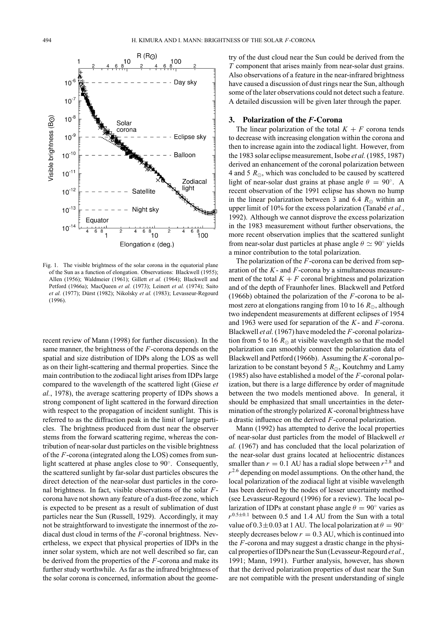

Fig. 1. The visible brightness of the solar corona in the equatorial plane of the Sun as a function of elongation. Observations: Blackwell (1955); Allen (1956); Waldmeier (1961); Gillett *et al.* (1964); Blackwell and Petford (1966a); MacQueen *et al.* (1973); Leinert *et al.* (1974); Saito *et al.* (1977); Dürst (1982); Nikolsky et al. (1983); Levasseur-Regourd (1996).

recent review of Mann (1998) for further discussion). In the same manner, the brightness of the *F*-corona depends on the spatial and size distribution of IDPs along the LOS as well as on their light-scattering and thermal properties. Since the main contribution to the zodiacal light arises from IDPs large compared to the wavelength of the scattered light (Giese *et al.*, 1978), the average scattering property of IDPs shows a strong component of light scattered in the forward direction with respect to the propagation of incident sunlight. This is referred to as the diffraction peak in the limit of large particles. The brightness produced from dust near the observer stems from the forward scattering regime, whereas the contribution of near-solar dust particles on the visible brightness of the *F*-corona (integrated along the LOS) comes from sunlight scattered at phase angles close to 90◦. Consequently, the scattered sunlight by far-solar dust particles obscures the direct detection of the near-solar dust particles in the coronal brightness. In fact, visible observations of the solar *F*corona have not shown any feature of a dust-free zone, which is expected to be present as a result of sublimation of dust particles near the Sun (Russell, 1929). Accordingly, it may not be straightforward to investigate the innermost of the zodiacal dust cloud in terms of the *F*-coronal brightness. Nevertheless, we expect that physical properties of IDPs in the inner solar system, which are not well described so far, can be derived from the properties of the *F*-corona and make its further study worthwhile. As far as the infrared brightness of the solar corona is concerned, information about the geometry of the dust cloud near the Sun could be derived from the *T* component that arises mainly from near-solar dust grains. Also observations of a feature in the near-infrared brightness have caused a discussion of dust rings near the Sun, although some of the later observations could not detect such a feature. A detailed discussion will be given later through the paper.

### **3. Polarization of the** *F***-Corona**

The linear polarization of the total  $K + F$  corona tends to decrease with increasing elongation within the corona and then to increase again into the zodiacal light. However, from the 1983 solar eclipse measurement, Isobe *et al.* (1985, 1987) derived an enhancement of the coronal polarization between 4 and 5  $R_{\odot}$ , which was concluded to be caused by scattered light of near-solar dust grains at phase angle  $\theta = 90°$ . A recent observation of the 1991 eclipse has shown no hump in the linear polarization between 3 and 6.4  $R_{\odot}$  within an upper limit of 10% for the excess polarization (Tanabé *et al.*, 1992). Although we cannot disprove the excess polarization in the 1983 measurement without further observations, the more recent observation implies that the scattered sunlight from near-solar dust particles at phase angle  $\theta \simeq 90^\circ$  yields a minor contribution to the total polarization.

The polarization of the *F*-corona can be derived from separation of the *K*- and *F*-corona by a simultaneous measurement of the total  $K + F$  coronal brightness and polarization and of the depth of Fraunhofer lines. Blackwell and Petford (1966b) obtained the polarization of the *F*-corona to be almost zero at elongations ranging from 10 to 16  $R_{\odot}$ , although two independent measurements at different eclipses of 1954 and 1963 were used for separation of the *K*- and *F*-corona. Blackwell *et al.*(1967) have modeled the *F*-coronal polarization from 5 to 16  $R_{\odot}$  at visible wavelength so that the model polarization can smoothly connect the polarization data of Blackwell and Petford (1966b). Assuming the *K*-coronal polarization to be constant beyond 5  $R_{\odot}$ , Koutchmy and Lamy (1985) also have established a model of the *F*-coronal polarization, but there is a large difference by order of magnitude between the two models mentioned above. In general, it should be emphasized that small uncertainties in the determination of the strongly polarized *K*-coronal brightness have a drastic influence on the derived *F*-coronal polarization.

Mann (1992) has attempted to derive the local properties of near-solar dust particles from the model of Blackwell *et al.* (1967) and has concluded that the local polarization of the near-solar dust grains located at heliocentric distances smaller than  $r = 0.1$  AU has a radial slope between  $r^{2.8}$  and  $r^{2.6}$  depending on model assumptions. On the other hand, the local polarization of the zodiacal light at visible wavelength has been derived by the nodes of lesser uncertainty method (see Levasseur-Regourd (1996) for a review). The local polarization of IDPs at constant phase angle  $\theta = 90^\circ$  varies as  $r^{0.5\pm0.1}$  between 0.5 and 1.4 AU from the Sun with a total value of  $0.3 \pm 0.03$  at 1 AU. The local polarization at  $\theta = 90^\circ$ steeply decreases below  $r = 0.3$  AU, which is continued into the *F*-corona and may suggest a drastic change in the physical properties of IDPs near the Sun (Levasseur-Regourd *et al.*, 1991; Mann, 1991). Further analysis, however, has shown that the derived polarization properties of dust near the Sun are not compatible with the present understanding of single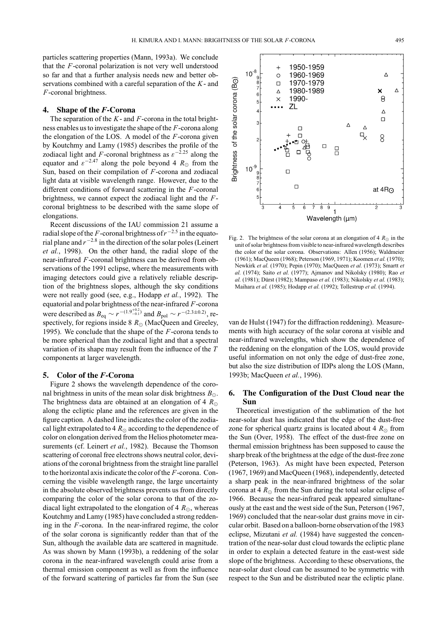particles scattering properties (Mann, 1993a). We conclude that the *F*-coronal polarization is not very well understood so far and that a further analysis needs new and better observations combined with a careful separation of the *K*- and *F*-coronal brightness.

## **4. Shape of the** *F***-Corona**

The separation of the *K*- and *F*-corona in the total brightness enables us to investigate the shape of the *F*-corona along the elongation of the LOS. A model of the *F*-corona given by Koutchmy and Lamy (1985) describes the profile of the zodiacal light and *F*-coronal brightness as  $\varepsilon^{-2.25}$  along the equator and  $\varepsilon^{-2.47}$  along the pole beyond 4  $R_{\odot}$  from the Sun, based on their compilation of *F*-corona and zodiacal light data at visible wavelength range. However, due to the different conditions of forward scattering in the *F*-coronal brightness, we cannot expect the zodiacal light and the *F*coronal brightness to be described with the same slope of elongations.

Recent discussions of the IAU commission 21 assume a radial slope of the *F*-coronal brightness of*r*−2.<sup>5</sup> in the equatorial plane and *r*−2.<sup>8</sup> in the direction of the solar poles (Leinert *et al.*, 1998). On the other hand, the radial slope of the near-infrared *F*-coronal brightness can be derived from observations of the 1991 eclipse, where the measurements with imaging detectors could give a relatively reliable description of the brightness slopes, although the sky conditions were not really good (see, e.g., Hodapp *et al.*, 1992). The equatorial and polar brightness of the near-infrared *F*-corona were described as  $B_{eq} \sim r^{-(1.9^{+0.2}_{-0.1})}$  and  $B_{pol} \sim r^{-(2.3\pm0.2)}$ , respectively, for regions inside 8  $R_{\odot}$  (MacQueen and Greeley, 1995). We conclude that the shape of the *F*-corona tends to be more spherical than the zodiacal light and that a spectral variation of its shape may result from the influence of the *T* components at larger wavelength.

#### **5. Color of the** *F***-Corona**

Figure 2 shows the wavelength dependence of the coronal brightness in units of the mean solar disk brightness  $B_{\odot}$ . The brightness data are obtained at an elongation of 4  $R_{\odot}$ along the ecliptic plane and the references are given in the figure caption. A dashed line indicates the color of the zodiacal light extrapolated to 4  $R_{\odot}$  according to the dependence of color on elongation derived from the Helios photometer measurements (cf. Leinert *et al.*, 1982). Because the Thomson scattering of coronal free electrons shows neutral color, deviations of the coronal brightness from the straight line parallel to the horizontal axis indicate the color of the *F*-corona. Concerning the visible wavelength range, the large uncertainty in the absolute observed brightness prevents us from directly comparing the color of the solar corona to that of the zodiacal light extrapolated to the elongation of 4  $R_{\odot}$ , whereas Koutchmy and Lamy (1985) have concluded a strong reddening in the *F*-corona. In the near-infrared regime, the color of the solar corona is significantly redder than that of the Sun, although the available data are scattered in magnitude. As was shown by Mann (1993b), a reddening of the solar corona in the near-infrared wavelength could arise from a thermal emission component as well as from the influence of the forward scattering of particles far from the Sun (see

Fig. 2. The brightness of the solar corona at an elongation of 4  $R_{\odot}$  in the unit of solar brightness from visible to near-infrared wavelength describes the color of the solar corona. Observations: Allen (1956); Waldmeier (1961); MacQueen (1968); Peterson (1969, 1971); Koomen *et al.* (1970); Newkirk *et al.* (1970); Pepin (1970); MacQueen *et al.* (1973); Smartt *et al.* (1974); Saito *et al.* (1977); Ajmanov and Nikolsky (1980); Rao *et al.* (1981); Dürst (1982); Mampaso *et al.* (1983); Nikolsky *et al.* (1983); Maihara *et al.* (1985); Hodapp *et al.* (1992); Tollestrup *et al.* (1994).

van de Hulst (1947) for the diffraction reddening). Measurements with high accuracy of the solar corona at visible and near-infrared wavelengths, which show the dependence of the reddening on the elongation of the LOS, would provide useful information on not only the edge of dust-free zone, but also the size distribution of IDPs along the LOS (Mann, 1993b; MacQueen *et al.*, 1996).

# **6. The Configuration of the Dust Cloud near the Sun**

Theoretical investigation of the sublimation of the hot near-solar dust has indicated that the edge of the dust-free zone for spherical quartz grains is located about 4  $R_{\odot}$  from the Sun (Over, 1958). The effect of the dust-free zone on thermal emission brightness has been supposed to cause the sharp break of the brightness at the edge of the dust-free zone (Peterson, 1963). As might have been expected, Peterson (1967, 1969) and MacQueen (1968), independently, detected a sharp peak in the near-infrared brightness of the solar corona at 4  $R_{\odot}$  from the Sun during the total solar eclipse of 1966. Because the near-infrared peak appeared simultaneously at the east and the west side of the Sun, Peterson (1967, 1969) concluded that the near-solar dust grains move in circular orbit. Based on a balloon-borne observation of the 1983 eclipse, Mizutani *et al.* (1984) have suggested the concentration of the near-solar dust cloud towards the ecliptic plane in order to explain a detected feature in the east-west side slope of the brightness. According to these observations, the near-solar dust cloud can be assumed to be symmetric with respect to the Sun and be distributed near the ecliptic plane.

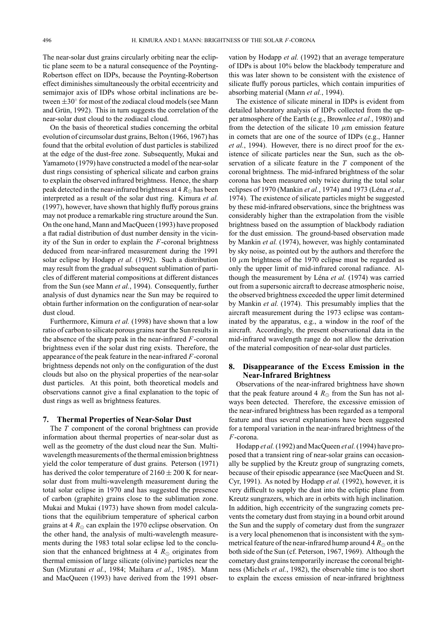The near-solar dust grains circularly orbiting near the ecliptic plane seem to be a natural consequence of the Poynting-Robertson effect on IDPs, because the Poynting-Robertson effect diminishes simultaneously the orbital eccentricity and semimajor axis of IDPs whose orbital inclinations are between  $\pm 30^\circ$  for most of the zodiacal cloud models (see Mann and Grün, 1992). This in turn suggests the correlation of the near-solar dust cloud to the zodiacal cloud.

On the basis of theoretical studies concerning the orbital evolution of circumsolar dust grains, Belton (1966, 1967) has found that the orbital evolution of dust particles is stabilized at the edge of the dust-free zone. Subsequently, Mukai and Yamamoto (1979) have constructed a model of the near-solar dust rings consisting of spherical silicate and carbon grains to explain the observed infrared brightness. Hence, the sharp peak detected in the near-infrared brightness at 4  $R_{\odot}$  has been interpreted as a result of the solar dust ring. Kimura *et al.* (1997), however, have shown that highly fluffy porous grains may not produce a remarkable ring structure around the Sun. On the one hand, Mann and MacQueen (1993) have proposed a flat radial distribution of dust number density in the vicinity of the Sun in order to explain the *F*-coronal brightness deduced from near-infrared measurement during the 1991 solar eclipse by Hodapp *et al.* (1992). Such a distribution may result from the gradual subsequent sublimation of particles of different material compositions at different distances from the Sun (see Mann *et al.*, 1994). Consequently, further analysis of dust dynamics near the Sun may be required to obtain further information on the configuration of near-solar dust cloud.

Furthermore, Kimura *et al.* (1998) have shown that a low ratio of carbon to silicate porous grains near the Sun results in the absence of the sharp peak in the near-infrared *F*-coronal brightness even if the solar dust ring exists. Therefore, the appearance of the peak feature in the near-infrared *F*-coronal brightness depends not only on the configuration of the dust clouds but also on the physical properties of the near-solar dust particles. At this point, both theoretical models and observations cannot give a final explanation to the topic of dust rings as well as brightness features.

# **7. Thermal Properties of Near-Solar Dust**

The *T* component of the coronal brightness can provide information about thermal properties of near-solar dust as well as the geometry of the dust cloud near the Sun. Multiwavelength measurements of the thermal emission brightness yield the color temperature of dust grains. Peterson (1971) has derived the color temperature of  $2160 \pm 200$  K for nearsolar dust from multi-wavelength measurement during the total solar eclipse in 1970 and has suggested the presence of carbon (graphite) grains close to the sublimation zone. Mukai and Mukai (1973) have shown from model calculations that the equilibrium temperature of spherical carbon grains at 4  $R_{\odot}$  can explain the 1970 eclipse observation. On the other hand, the analysis of multi-wavelength measurements during the 1983 total solar eclipse led to the conclusion that the enhanced brightness at 4  $R_{\odot}$  originates from thermal emission of large silicate (olivine) particles near the Sun (Mizutani *et al.*, 1984; Maihara *et al.*, 1985). Mann and MacQueen (1993) have derived from the 1991 observation by Hodapp *et al.* (1992) that an average temperature of IDPs is about 10% below the blackbody temperature and this was later shown to be consistent with the existence of silicate fluffy porous particles, which contain impurities of absorbing material (Mann *et al.*, 1994).

The existence of silicate mineral in IDPs is evident from detailed laboratory analysis of IDPs collected from the upper atmosphere of the Earth (e.g., Brownlee *et al.*, 1980) and from the detection of the silicate 10  $\mu$ m emission feature in comets that are one of the source of IDPs (e.g., Hanner *et al.*, 1994). However, there is no direct proof for the existence of silicate particles near the Sun, such as the observation of a silicate feature in the *T* component of the coronal brightness. The mid-infrared brightness of the solar corona has been measured only twice during the total solar eclipses of 1970 (Mankin *et al.*, 1974) and 1973 (Léna *et al.*, 1974). The existence of silicate particles might be suggested by these mid-infrared observations, since the brightness was considerably higher than the extrapolation from the visible brightness based on the assumption of blackbody radiation for the dust emission. The ground-based observation made by Mankin *et al.* (1974), however, was highly contaminated by sky noise, as pointed out by the authors and therefore the 10  $\mu$ m brightness of the 1970 eclipse must be regarded as only the upper limit of mid-infrared coronal radiance. Although the measurement by Léna et al. (1974) was carried out from a supersonic aircraft to decrease atmospheric noise, the observed brightness exceeded the upper limit determined by Mankin *et al.* (1974). This presumably implies that the aircraft measurement during the 1973 eclipse was contaminated by the apparatus, e.g., a window in the roof of the aircraft. Accordingly, the present observational data in the mid-infrared wavelength range do not allow the derivation of the material composition of near-solar dust particles.

# **8. Disappearance of the Excess Emission in the Near-Infrared Brightness**

Observations of the near-infrared brightness have shown that the peak feature around 4  $R_{\odot}$  from the Sun has not always been detected. Therefore, the excessive emission of the near-infrared brightness has been regarded as a temporal feature and thus several explanations have been suggested for a temporal variation in the near-infrared brightness of the *F*-corona.

Hodapp *et al.*(1992) and MacQueen *et al.*(1994) have proposed that a transient ring of near-solar grains can occasionally be supplied by the Kreutz group of sungrazing comets, because of their episodic appearance (see MacQueen and St. Cyr, 1991). As noted by Hodapp *et al.* (1992), however, it is very difficult to supply the dust into the ecliptic plane from Kreutz sungrazers, which are in orbits with high inclination. In addition, high eccentricity of the sungrazing comets prevents the cometary dust from staying in a bound orbit around the Sun and the supply of cometary dust from the sungrazer is a very local phenomenon that is inconsistent with the symmetrical feature of the near-infrared hump around  $4 R_{\odot}$  on the both side of the Sun (cf. Peterson, 1967, 1969). Although the cometary dust grains temporarily increase the coronal brightness (Michels *et al.*, 1982), the observable time is too short to explain the excess emission of near-infrared brightness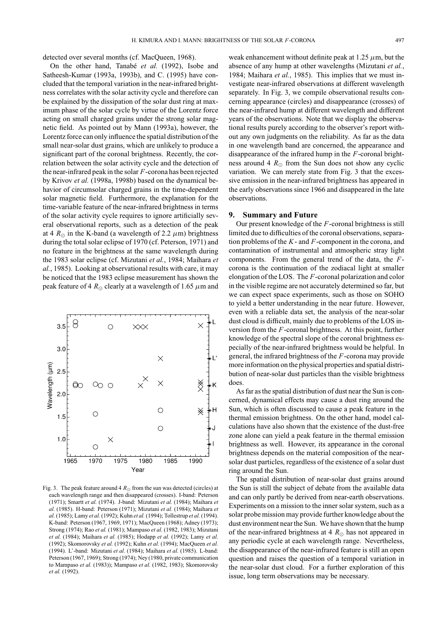detected over several months (cf. MacQueen, 1968).

On the other hand, Tanabé et al. (1992), Isobe and Satheesh-Kumar (1993a, 1993b), and C. (1995) have concluded that the temporal variation in the near-infrared brightness correlates with the solar activity cycle and therefore can be explained by the dissipation of the solar dust ring at maximum phase of the solar cycle by virtue of the Lorentz force acting on small charged grains under the strong solar magnetic field. As pointed out by Mann (1993a), however, the Lorentz force can only influence the spatial distribution of the small near-solar dust grains, which are unlikely to produce a significant part of the coronal brightness. Recently, the correlation between the solar activity cycle and the detection of the near-infrared peak in the solar *F*-corona has been rejected by Krivov *et al.* (1998a, 1998b) based on the dynamical behavior of circumsolar charged grains in the time-dependent solar magnetic field. Furthermore, the explanation for the time-variable feature of the near-infrared brightness in terms of the solar activity cycle requires to ignore artificially several observational reports, such as a detection of the peak at 4  $R_{\odot}$  in the K-band (a wavelength of 2.2  $\mu$ m) brightness during the total solar eclipse of 1970 (cf. Peterson, 1971) and no feature in the brightness at the same wavelength during the 1983 solar eclipse (cf. Mizutani *et al.*, 1984; Maihara *et al.*, 1985). Looking at observational results with care, it may be noticed that the 1983 eclipse measurement has shown the peak feature of 4  $R_{\odot}$  clearly at a wavelength of 1.65  $\mu$ m and



Fig. 3. The peak feature around 4  $R_{\odot}$  from the sun was detected (circles) at each wavelength range and then disappeared (crosses). I-band: Peterson (1971); Smartt *et al.* (1974). J-band: Mizutani *et al.* (1984); Maihara *et al.* (1985). H-band: Peterson (1971); Mizutani *et al.* (1984); Maihara *et al.*(1985); Lamy *et al.*(1992); Kuhn *et al.*(1994); Tollestrup *et al.*(1994). K-band: Peterson (1967, 1969, 1971); MacQueen (1968); Adney (1973); Strong (1974); Rao *et al.* (1981); Mampaso *et al.* (1982, 1983); Mizutani *et al.* (1984); Maihara *et al.* (1985); Hodapp *et al.* (1992); Lamy *et al.* (1992); Skomorovsky *et al.* (1992); Kuhn *et al.* (1994); MacQueen *et al.* (1994). L'-band: Mizutani *et al.* (1984); Maihara *et al.* (1985). L-band: Peterson (1967, 1969); Strong (1974); Ney (1980, private communication to Mampaso *et al.* (1983)); Mampaso *et al.* (1982, 1983); Skomorovsky *et al.* (1992).

weak enhancement without definite peak at 1.25  $\mu$ m, but the absence of any hump at other wavelengths (Mizutani *et al.*, 1984; Maihara *et al.*, 1985). This implies that we must investigate near-infrared observations at different wavelength separately. In Fig. 3, we compile observational results concerning appearance (circles) and disappearance (crosses) of the near-infrared hump at different wavelength and different years of the observations. Note that we display the observational results purely according to the observer's report without any own judgments on the reliability. As far as the data in one wavelength band are concerned, the appearance and disappearance of the infrared hump in the *F*-coronal brightness around 4  $R_{\odot}$  from the Sun does not show any cyclic variation. We can merely state from Fig. 3 that the excessive emission in the near-infrared brightness has appeared in the early observations since 1966 and disappeared in the late observations.

#### **9. Summary and Future**

Our present knowledge of the *F*-coronal brightness is still limited due to difficulties of the coronal observations, separation problems of the *K*- and *F*-component in the corona, and contamination of instrumental and atmospheric stray light components. From the general trend of the data, the *F*corona is the continuation of the zodiacal light at smaller elongation of the LOS. The *F*-coronal polarization and color in the visible regime are not accurately determined so far, but we can expect space experiments, such as those on SOHO to yield a better understanding in the near future. However, even with a reliable data set, the analysis of the near-solar dust cloud is difficult, mainly due to problems of the LOS inversion from the *F*-coronal brightness. At this point, further knowledge of the spectral slope of the coronal brightness especially of the near-infrared brightness would be helpful. In general, the infrared brightness of the *F*-corona may provide more information on the physical properties and spatial distribution of near-solar dust particles than the visible brightness does.

As far as the spatial distribution of dust near the Sun is concerned, dynamical effects may cause a dust ring around the Sun, which is often discussed to cause a peak feature in the thermal emission brightness. On the other hand, model calculations have also shown that the existence of the dust-free zone alone can yield a peak feature in the thermal emission brightness as well. However, its appearance in the coronal brightness depends on the material composition of the nearsolar dust particles, regardless of the existence of a solar dust ring around the Sun.

The spatial distribution of near-solar dust grains around the Sun is still the subject of debate from the available data and can only partly be derived from near-earth observations. Experiments on a mission to the inner solar system, such as a solar probe mission may provide further knowledge about the dust environment near the Sun. We have shown that the hump of the near-infrared brightness at 4  $R_{\odot}$  has not appeared in any periodic cycle at each wavelength range. Nevertheless, the disappearance of the near-infrared feature is still an open question and raises the question of a temporal variation in the near-solar dust cloud. For a further exploration of this issue, long term observations may be necessary.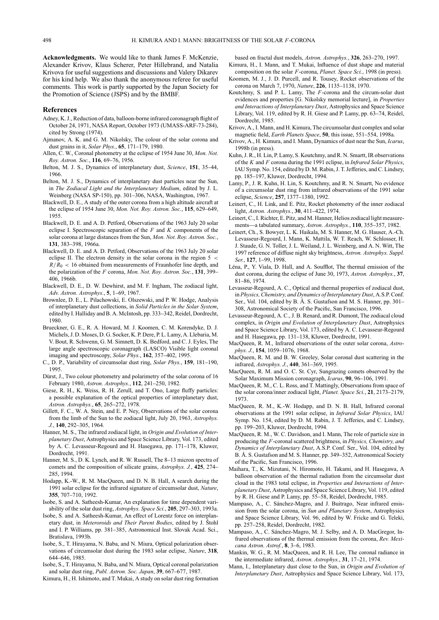**Acknowledgments.** We would like to thank James F. McKenzie, Alexander Krivov, Klaus Scherer, Peter Hillebrand, and Natalia Krivova for useful suggestions and discussions and Valery Dikarev for his kind help. We also thank the anonymous referee for useful comments. This work is partly supported by the Japan Society for the Promotion of Science (JSPS) and by the BMBF.

#### **References**

- Adney, K. J., Reduction of data, balloon-borne infrared coronagraph flight of October 24, 1971, NASA Report, October 1973 (UMASS-ARF-73-284), cited by Strong (1974).
- Ajmanov, A. K. and G. M. Nikolsky, The colour of the solar corona and dust grains in it, *Solar Phys.*, **65**, 171–179, 1980.
- Allen, C. W., Coronal photometry at the eclipse of 1954 June 30, *Mon. Not. Roy. Astron. Soc.*, **116**, 69–76, 1956.
- Belton, M. J. S., Dynamics of interplanetary dust, *Science*, **151**, 35–44, 1966.
- Belton, M. J. S., Dynamics of interplanetary dust particles near the Sun, in *The Zodiacal Light and the Interplanetary Medium*, edited by J. L. Weinberg (NASA SP-150), pp. 301–306, NASA, Washington, 1967.
- Blackwell, D. E., A study of the outer corona from a high altitude aircraft at the eclipse of 1954 June 30, *Mon. Not. Roy. Astron. Soc.*, **115**, 629–649, 1955.
- Blackwell, D. E. and A. D. Petford, Observations of the 1963 July 20 solar eclipse I. Spectroscopic separation of the *F* and *K* components of the solar corona at large distances from the Sun, *Mon. Not. Roy. Astron. Soc.*, **131**, 383–398, 1966a.
- Blackwell, D. E. and A. D. Petford, Observations of the 1963 July 20 solar eclipse II. The electron density in the solar corona in the region 5 <  $R/R_0 < 16$  obtained from measurements of Fraunhofer line depth, and the polarization of the *F* corona, *Mon. Not. Roy. Astron. Soc.*, **131**, 399– 406, 1966b.
- Blackwell, D. E., D. W. Dewhirst, and M. F. Ingham, The zodiacal light, *Adv. Astron. Astrophys.*, **5**, 1–69, 1967.
- Brownlee, D. E., L. Pilachowski, E. Olszewski, and P. W. Hodge, Analysis of interplanetary dust collections, in *Solid Particles in the Solar System*, edited by I. Halliday and B. A. McIntosh, pp. 333–342, Reidel, Dordrecht, 1980.
- Brueckner, G. E., R. A. Howard, M. J. Koomen, C. M. Korendyke, D. J. Michels, J. D. Moses, D. G. Socker, K. P. Dere, P. L. Lamy, A. Llebaria, M. V. Bout, R. Schwenn, G. M. Simnett, D. K. Bedford, and C. J. Eyles, The large angle spectroscopic coronagraph (LASCO) Visible light coronal imaging and spectroscopy, *Solar Phys.*, **162**, 357–402, 1995.
- C., D. P., Variability of circumsolar dust ring, *Solar Phys.*, **159**, 181–190, 1995.
- Dürst, J., Two colour photometry and polarimetry of the solar corona of 16 February 1980, *Astron. Astrophys.*, **112**, 241–250, 1982.
- Giese, R. H., K. Weiss, R. H. Zerull, and T. Ono, Large fluffy particles: a possible explanation of the optical properties of interplanetary dust, *Astron. Astrophys.*, **65**, 265–272, 1978.
- Gillett, F. C., W. A. Stein, and E. P. Ney, Observations of the solar corona from the limb of the Sun to the zodiacal light, July 20, 1963, *Astrophys. J.*, **140**, 292–305, 1964.
- Hanner, M. S., The infrared zodiacal light, in *Origin and Evolution of Interplanetary Dust*, Astrophysics and Space Science Library, Vol. 173, edited by A. C. Levasseur-Regourd and H. Hasegawa, pp. 171–178, Kluwer, Dordrecht, 1991.
- Hanner, M. S., D. K. Lynch, and R. W. Russell, The 8-13 micron spectra of comets and the composition of silicate grains, *Astrophys. J.*, **425**, 274– 285, 1994.
- Hodapp, K.-W., R. M. MacQueen, and D. N. B. Hall, A search during the 1991 solar eclipse for the infrared signature of circumsolar dust, *Nature*, **355**, 707–710, 1992.
- Isobe, S. and A. Satheesh-Kumar, An explanation for time dependent variability of the solar dust ring, *Astrophys. Space Sci.*, **205**, 297–303, 1993a.
- Isobe, S. and A. Satheesh-Kumar, An effect of Lorentz force on interplanetary dust, in *Meteroroids and Their Parent Bodies*, edited by J. Štohl and I. P. Williams, pp. 381–385, Astronomical Inst. Slovak Acad. Sci., Bratislava, 1993b.
- Isobe, S., T. Hirayama, N. Baba, and N. Miura, Optical polarization observations of circumsolar dust during the 1983 solar eclipse, *Nature*, **318**, 644–646, 1985.
- Isobe, S., T. Hirayama, N. Baba, and N. Miura, Optical coronal polarization and solar dust ring, *Publ. Astron. Soc. Japan*, **39**, 667–677, 1987.

Kimura, H., H. Ishimoto, and T. Mukai, A study on solar dust ring formation

based on fractal dust models, *Astron. Astrophys.*, **326**, 263–270, 1997.

- Kimura, H., I. Mann, and T. Mukai, Influence of dust shape and material composition on the solar *F*-corona, *Planet. Space Sci.*, 1998 (in press).
- Koomen, M. J., J. D. Purcell, and R. Tousey, Rocket observations of the corona on March 7, 1970, *Nature*, **226**, 1135–1138, 1970.
- Koutchmy, S. and P. L. Lamy, The *F*-corona and the circum-solar dust evidences and properties [G. Nikolsky memorial lecture], in *Properties and Interactions of Interplanetary Dust*, Astrophysics and Space Science Library, Vol. 119, edited by R. H. Giese and P. Lamy, pp. 63–74, Reidel, Dordrecht, 1985.
- Krivov, A., I. Mann, and H. Kimura, The circumsolar dust complex and solar magnetic field, *Earth Planets Space*, **50**, this issue, 551–554, 1998a.
- Krivov, A., H. Kimura, and I. Mann, Dynamics of dust near the Sun, *Icarus*, 1998b (in press).
- Kuhn, J. R., H. Lin, P. Lamy, S. Koutchmy, and R. N. Smartt, IR observations of the *K* and *F* corona during the 1991 eclipse, in *Infrared Solar Physics*, IAU Symp. No. 154, edited by D. M. Rabin, J. T. Jefferies, and C. Lindsey, pp. 185–197, Kluwer, Dordrecht, 1994.
- Lamy, P., J. R. Kuhn, H. Lin, S. Koutchmy, and R. N. Smartt, No evidence of a circumsolar dust ring from infrared observations of the 1991 solar eclipse, *Science*, **257**, 1377–1380, 1992.
- Leinert, C., H. Link, and E. Pitz, Rocket photometry of the inner zodiacal light, *Astron. Astrophys.*, **30**, 411–422, 1974.
- Leinert, C., I. Richter, E. Pitz, and M. Hanner, Helios zodiacal light measurements—a tabulated summary, *Astron. Astrophys.*, **110**, 355–357, 1982.
- Leinert, Ch., S. Bowyer, L. K. Haikala, M. S. Hanner, M. G. Hauser, A.-Ch. Levasseur-Regourd, I. Mann, K. Mattila, W. T. Reach, W. Schlosser, H. J. Staude, G. N. Toller, J. L. Weiland, J. L. Weinberg, and A. N. Witt, The 1997 reference of diffuse night sky brightness, *Astron. Astrophys. Suppl. Ser.*, **127**, 1–99, 1998.
- Léna, P., Y. Viala, D. Hall, and A. Soufflot, The thermal emission of the dust corona, during the eclipse of June 30, 1973, *Astron. Astrophys.*, **37**, 81–86, 1974.
- Levasseur-Regourd, A. C., Optical and thermal properties of zodiacal dust, in *Physics, Chemistry, and Dynamics of Interplanetary Dust*, A.S.P. Conf. Ser., Vol. 104, edited by B. Å. S. Gustafson and M. S. Hanner, pp. 301– 308, Astronomical Society of the Pacific, San Francisco, 1996.
- Levasseur-Regourd, A. C., J. B. Renard, and R. Dumont, The zodiacal cloud complex, in *Origin and Evolution of Interplanetary Dust*, Astrophysics and Space Science Library, Vol. 173, edited by A. C. Levasseur-Regourd and H. Hasegawa, pp. 131–138, Kluwer, Dordrecht, 1991.
- MacQueen, R. M., Infrared observations of the outer solar corona, *Astrophys. J.*, **154**, 1059–1076, 1968.
- MacQueen, R. M. and B. W. Greeley, Solar coronal dust scattering in the infrared, *Astrophys. J.*, **440**, 361–369, 1995.
- MacQueen, R. M. and O. C. St. Cyr, Sungrazing comets observed by the Solar Maximum Mission coronagraph, *Icarus*, **90**, 96–106, 1991.
- MacQueen, R. M., C. L. Ross, and T. Mattingly, Observations from space of the solar corona/inner zodiacal light, *Planet. Space Sci.*, **21**, 2173–2179, 1973.
- MacQueen, R. M., K.-W. Hodapp, and D. N. B. Hall, Infrared coronal observations at the 1991 solar eclipse, in *Infrared Solar Physics*, IAU Symp. No. 154, edited by D. M. Rabin, J. T. Jefferies, and C. Lindsey, pp. 199–203, Kluwer, Dordrecht, 1994.
- MacQueen, R. M., W. C. Davidson, and I. Mann, The role of particle size in producing the *F*-coronal scattered brightness, in *Physics, Chemistry, and Dynamics of Interplanetary Dust*, A.S.P. Conf. Ser., Vol. 104, edited by B. Å. S. Gustafson and M. S. Hanner, pp. 349-352, Astronomical Society of the Pacific, San Francisco, 1996.
- Maihara, T., K. Mizutani, N. Hiromoto, H. Takami, and H. Hasegawa, A balloon observation of the thermal radiation from the circumsolar dust cloud in the 1983 total eclipse, in *Properties and Interactions of Interplanetary Dust*, Astrophysics and Space Science Library, Vol. 119, edited by R. H. Giese and P. Lamy, pp. 55–58, Reidel, Dordrecht, 1985.
- Mampaso, A., C. Sánchez-Magro, and J. Buitrago, Near infrared emission from the solar corona, in *Sun and Planetary System*, Astrophysics and Space Science Library, Vol. 96, edited by W. Fricke and G. Teleki, pp. 257–258, Reidel, Dordrecht, 1982.
- Mampaso, A., C. Sánchez-Magro, M. J. Selby, and A. D. MacGregor, Infrared observations of the thermal emission from the corona, *Rev. Mexicana Astron. Astrof.*, **8**, 3–6, 1983.
- Mankin, W. G., R. M. MacQueen, and R. H. Lee, The coronal radiance in the intermediate infrared, *Astron. Astrophys.*, **31**, 17–21, 1974.
- Mann, I., Interplanetary dust close to the Sun, in *Origin and Evolution of Interplanetary Dust*, Astrophysics and Space Science Library, Vol. 173,